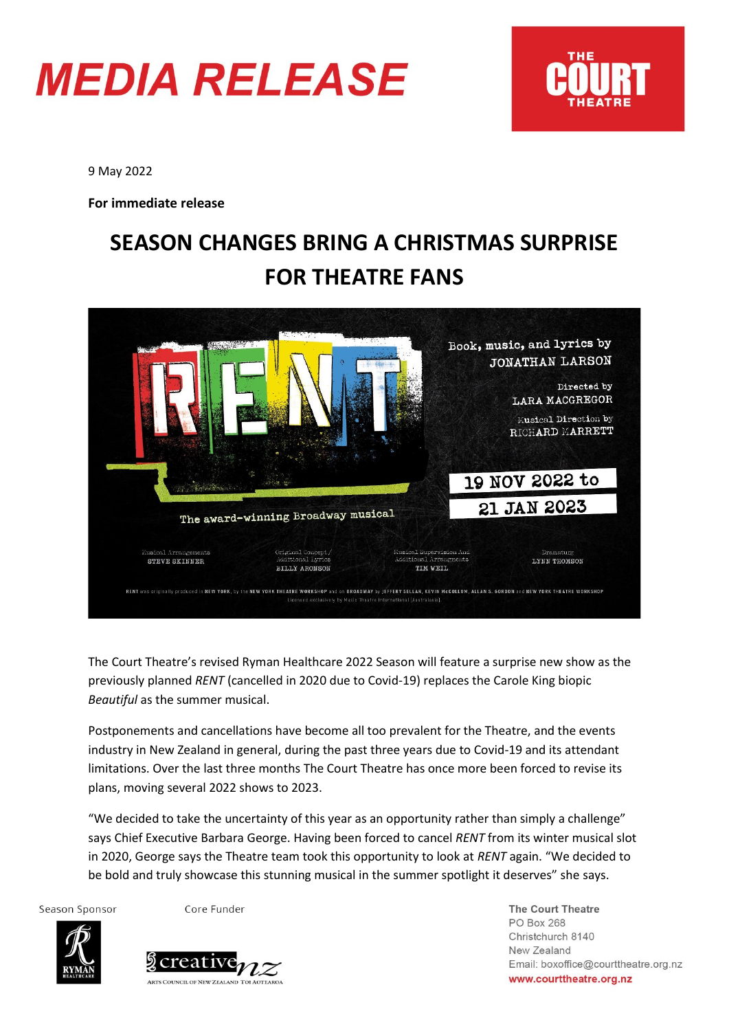



9 May 2022

**For immediate release** 

## **SEASON CHANGES BRING A CHRISTMAS SURPRISE FOR THEATRE FANS**



The Court Theatre's revised Ryman Healthcare 2022 Season will feature a surprise new show as the previously planned *RENT* (cancelled in 2020 due to Covid-19) replaces the Carole King biopic *Beautiful* as the summer musical.

Postponements and cancellations have become all too prevalent for the Theatre, and the events industry in New Zealand in general, during the past three years due to Covid-19 and its attendant limitations. Over the last three months The Court Theatre has once more been forced to revise its plans, moving several 2022 shows to 2023.

"We decided to take the uncertainty of this year as an opportunity rather than simply a challenge" says Chief Executive Barbara George. Having been forced to cancel *RENT* from its winter musical slot in 2020, George says the Theatre team took this opportunity to look at *RENT* again. "We decided to be bold and truly showcase this stunning musical in the summer spotlight it deserves" she says.

Season Sponsor

Core Funder





**The Court Theatre PO Box 268** Christchurch 8140 New Zealand Email: boxoffice@courttheatre.org.nz www.courttheatre.org.nz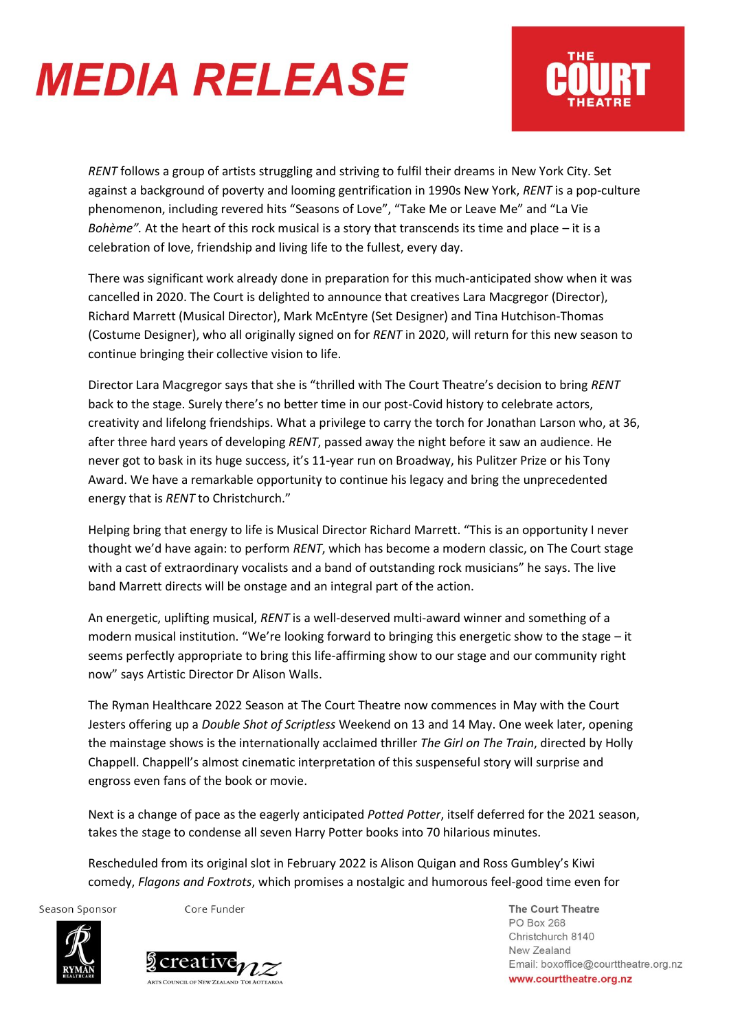## **MEDIA RELEASE**



*RENT* follows a group of artists struggling and striving to fulfil their dreams in New York City. Set against a background of poverty and looming gentrification in 1990s New York, *RENT* is a pop-culture phenomenon, including revered hits "Seasons of Love", "Take Me or Leave Me" and "La Vie *Bohème".* At the heart of this rock musical is a story that transcends its time and place – it is a celebration of love, friendship and living life to the fullest, every day.

There was significant work already done in preparation for this much-anticipated show when it was cancelled in 2020. The Court is delighted to announce that creatives Lara Macgregor (Director), Richard Marrett (Musical Director), Mark McEntyre (Set Designer) and Tina Hutchison-Thomas (Costume Designer), who all originally signed on for *RENT* in 2020, will return for this new season to continue bringing their collective vision to life.

Director Lara Macgregor says that she is "thrilled with The Court Theatre's decision to bring *RENT* back to the stage. Surely there's no better time in our post-Covid history to celebrate actors, creativity and lifelong friendships. What a privilege to carry the torch for Jonathan Larson who, at 36, after three hard years of developing *RENT*, passed away the night before it saw an audience. He never got to bask in its huge success, it's 11-year run on Broadway, his Pulitzer Prize or his Tony Award. We have a remarkable opportunity to continue his legacy and bring the unprecedented energy that is *RENT* to Christchurch."

Helping bring that energy to life is Musical Director Richard Marrett. "This is an opportunity I never thought we'd have again: to perform *RENT*, which has become a modern classic, on The Court stage with a cast of extraordinary vocalists and a band of outstanding rock musicians" he says. The live band Marrett directs will be onstage and an integral part of the action.

An energetic, uplifting musical, *RENT* is a well-deserved multi-award winner and something of a modern musical institution. "We're looking forward to bringing this energetic show to the stage – it seems perfectly appropriate to bring this life-affirming show to our stage and our community right now" says Artistic Director Dr Alison Walls.

The Ryman Healthcare 2022 Season at The Court Theatre now commences in May with the Court Jesters offering up a *Double Shot of Scriptless* Weekend on 13 and 14 May. One week later, opening the mainstage shows is the internationally acclaimed thriller *The Girl on The Train*, directed by Holly Chappell. Chappell's almost cinematic interpretation of this suspenseful story will surprise and engross even fans of the book or movie.

Next is a change of pace as the eagerly anticipated *Potted Potter*, itself deferred for the 2021 season, takes the stage to condense all seven Harry Potter books into 70 hilarious minutes.

Rescheduled from its original slot in February 2022 is Alison Quigan and Ross Gumbley's Kiwi comedy, *Flagons and Foxtrots*, which promises a nostalgic and humorous feel-good time even for

Season Sponsor

Core Funder





The Court Theatre PO Box 268 Christchurch 8140 New Zealand Email: boxoffice@courttheatre.org.nz www.courttheatre.org.nz